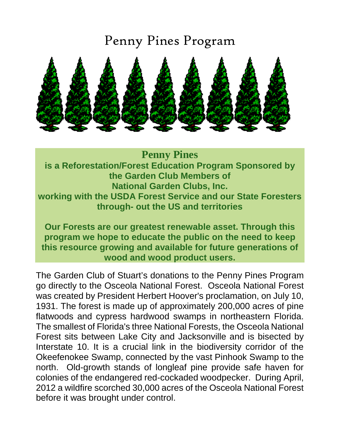## Penny Pines Program



**Penny Pines is a Reforestation/Forest Education Program Sponsored by the Garden Club Members of National Garden Clubs, Inc. working with the USDA Forest Service and our State Foresters through- out the US and territories**

**Our Forests are our greatest renewable asset. Through this program we hope to educate the public on the need to keep this resource growing and available for future generations of wood and wood product users.**

The Garden Club of Stuart's donations to the Penny Pines Program go directly to the Osceola National Forest. Osceola National Forest was created by President Herbert Hoover's proclamation, on July 10, 1931. The forest is made up of approximately 200,000 acres of pine flatwoods and cypress hardwood swamps in northeastern Florida. The smallest of Florida's three National Forests, the Osceola National Forest sits between Lake City and Jacksonville and is bisected by Interstate 10. It is a crucial link in the biodiversity corridor of the Okeefenokee Swamp, connected by the vast Pinhook Swamp to the north. Old-growth stands of longleaf pine provide safe haven for colonies of the endangered red-cockaded woodpecker. During April, 2012 a wildfire scorched 30,000 acres of the Osceola National Forest before it was brought under control.